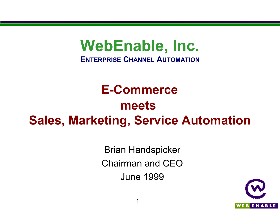# **WebEnable, Inc.**

**ENTERPRISE CHANNEL AUTOMATION**

# **E-Commerce meets Sales, Marketing, Service Automation**

Brian Handspicker Chairman and CEO June 1999

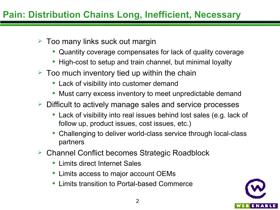- $\geq$  Too many links suck out margin
	- Quantity coverage compensates for lack of quality coverage
	- High-cost to setup and train channel, but minimal loyalty
- $\geq$  Too much inventory tied up within the chain
	- Lack of visibility into customer demand
	- Must carry excess inventory to meet unpredictable demand
- Difficult to actively manage sales and service processes
	- Lack of visibility into real issues behind lost sales (e.g. lack of follow up, product issues, cost issues, etc.)
	- Challenging to deliver world-class service through local-class partners
- Channel Conflict becomes Strategic Roadblock
	- Limits direct Internet Sales
	- Limits access to major account OEMs
	- Limits transition to Portal-based Commerce

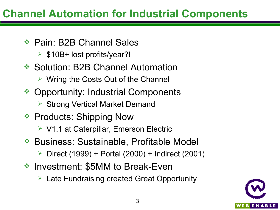### **Channel Automation for Industrial Components**

- Pain: B2B Channel Sales
	- $\triangleright$  \$10B+ lost profits/year?!
- **❖ Solution: B2B Channel Automation** 
	- $\triangleright$  Wring the Costs Out of the Channel
- **❖ Opportunity: Industrial Components** 
	- **▶ Strong Vertical Market Demand**
- **Exercice: Shipping Now** → Products: Shipping Now
	- V1.1 at Caterpillar, Emerson Electric
- **\* Business: Sustainable, Profitable Model** 
	- Direct (1999) + Portal (2000) + Indirect (2001)
- Investment: \$5MM to Break-Even
	- **▶ Late Fundraising created Great Opportunity**

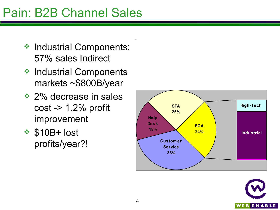## Pain: B2B Channel Sales

- **❖ Industrial Components:** 57% sales Indirect
- ◆ Industrial Components markets ~\$800B/year
- **→ 2% decrease in sales** cost -> 1.2% profit improvement
- $\div$  \$10B+ lost profits/year?!



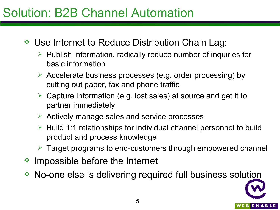## Solution: B2B Channel Automation

- **E** Use Internet to Reduce Distribution Chain Lag:
	- $\triangleright$  Publish information, radically reduce number of inquiries for basic information
	- Accelerate business processes (e.g. order processing) by cutting out paper, fax and phone traffic
	- $\geq$  Capture information (e.g. lost sales) at source and get it to partner immediately
	- $\triangleright$  Actively manage sales and service processes
	- $\triangleright$  Build 1:1 relationships for individual channel personnel to build product and process knowledge
	- Target programs to end-customers through empowered channel
- **EXA Impossible before the Internet**
- No-one else is delivering required full business solution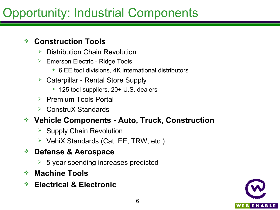# Opportunity: Industrial Components

#### **Construction Tools**

- $\triangleright$  Distribution Chain Revolution
- $\triangleright$  Emerson Electric Ridge Tools
	- ◆ 6 EE tool divisions, 4K international distributors
- $\triangleright$  Caterpillar Rental Store Supply
	- ◆ 125 tool suppliers, 20+ U.S. dealers
- $\triangleright$  Premium Tools Portal
- $\triangleright$  ConstruX Standards

#### **Vehicle Components - Auto, Truck, Construction**

- $\triangleright$  Supply Chain Revolution
- $\triangleright$  VehiX Standards (Cat, EE, TRW, etc.)

#### **Defense & Aerospace**

- $\geq$  5 year spending increases predicted
- **Machine Tools**
- **Electrical & Electronic**

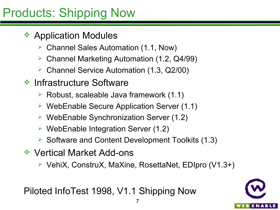# Products: Shipping Now

- **★ Application Modules** 
	- Channel Sales Automation (1.1, Now)
	- Channel Marketing Automation (1.2, Q4/99)
	- Channel Service Automation (1.3, Q2/00)
- **\* Infrastructure Software** 
	- $\triangleright$  Robust, scaleable Java framework (1.1)
	- $\triangleright$  WebEnable Secure Application Server (1.1)
	- $\triangleright$  WebEnable Synchronization Server (1.2)
	- $\triangleright$  WebEnable Integration Server (1.2)
	- $\triangleright$  Software and Content Development Toolkits (1.3)
- **◆ Vertical Market Add-ons** 
	- VehiX, ConstruX, MaXine, RosettaNet, EDIpro (V1.3+)

Piloted InfoTest 1998, V1.1 Shipping Now

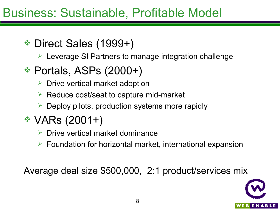### Business: Sustainable, Profitable Model

Direct Sales (1999+)

Leverage SI Partners to manage integration challenge

### **\* Portals, ASPs (2000+)**

- $\triangleright$  Drive vertical market adoption
- $\triangleright$  Reduce cost/seat to capture mid-market
- $\triangleright$  Deploy pilots, production systems more rapidly

## VARs (2001+)

- $\triangleright$  Drive vertical market dominance
- $\triangleright$  Foundation for horizontal market, international expansion

Average deal size \$500,000, 2:1 product/services mix